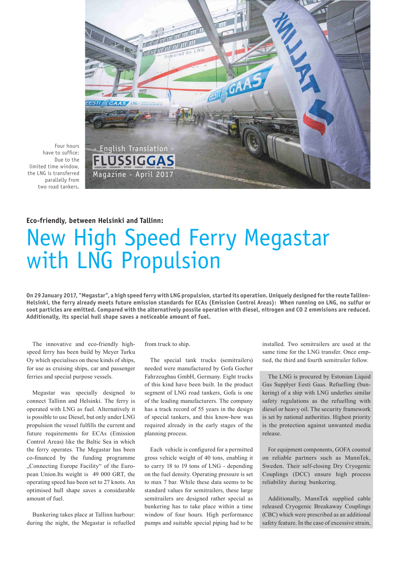

limited time window, the LNG is transferred parallelly from two road tankers.

## **Eco-friendly, between Helsinki and Tallinn:**

## New High Speed Ferry Megastar with LNG Propulsion

**On 29 January 2017, "Megastar", a high speed ferry with LNG propulsion, started its operation. Uniquely designed for the route Tallinn-Helsinki, the ferry already meets future emission standards for ECAs (Emission Control Areas): When running on LNG, no sulfur or soot particles are emitted. Compared with the alternatively possile operation with diesel, nitrogen and CO 2 emmisions are reduced. Additionally, its special hull shape saves a noticeable amount of fuel.** 

The innovative and eco-friendly highspeed ferry has been build by Meyer Turku Oy which specialises on these kinds of ships, for use as cruising ships, car and passenger ferries and special purpose vessels.

Megastar was specially designed to connect Tallinn and Helsinki. The ferry is operated with LNG as fuel. Alternatively it is possible to use Diesel, but only under LNG propulsion the vessel fulfills the current and future requirements for ECAs (Emission Control Areas) like the Baltic Sea in which the ferry operates. The Megastar has been co-financed by the funding programme "Connecting Europe Facility" of the European Union.Its weight is 49 000 GRT, the operating speed has been set to 27 knots. An optimised hull shape saves a considarable amount of fuel.

Bunkering takes place at Tallinn harbour: during the night, the Megastar is refuelled from truck to ship.

The special tank trucks (semitrailers) needed were manufactured by Gofa Gocher Fahrzeugbau GmbH, Germany. Eight trucks of this kind have been built. In the product segment of LNG road tankers, Gofa is one of the leading manufacturers. The company has a track record of 55 years in the design of special tankers, and this know-how was required already in the early stages of the planning process.

Each vehicle is configured for a permitted gross vehicle weight of 40 tons, enabling it to carry 18 to 19 tons of LNG - depending on the fuel density. Operating pressure is set to max 7 bar. While these data seems to be standard values for semitrailers, these large semitrailers are designed rather special as bunkering has to take place within a time window of four hours. High performance pumps and suitable special piping had to be installed. Two semitrailers are used at the same time for the LNG transfer. Once emptied, the third and fourth semitrailer follow.

The LNG is procured by Estonian Liquid Gas Supplyer Eesti Gaas. Refuelling (bunkering) of a ship with LNG underlies similar safety regulations as the refuelling with diesel or heavy oil. The security framework is set by national authorities. Highest priority is the protection against unwanted media release.

For equipment components, GOFA counted on reliable partners such as MannTek, Sweden. Their self-closing Dry Cryogenic Couplings (DCC) ensure high process reliability during bunkering.

Additionally, MannTek supplied cable released Cryogenic Breakaway Couplings (CBC) which were prescribed as an additional safety feature. In the case of excessive strain,